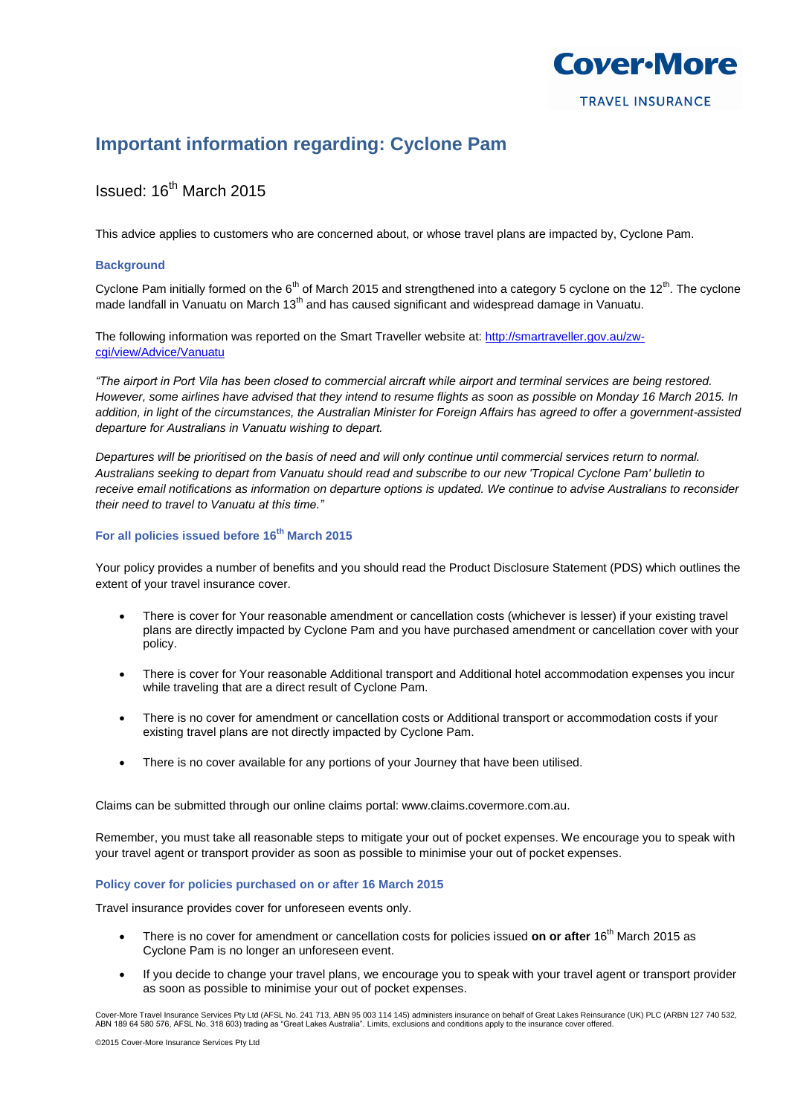

# **Important information regarding: Cyclone Pam**

# Issued: 16th March 2015

This advice applies to customers who are concerned about, or whose travel plans are impacted by, Cyclone Pam.

# **Background**

Cyclone Pam initially formed on the  $6<sup>th</sup>$  of March 2015 and strengthened into a category 5 cyclone on the 12<sup>th</sup>. The cyclone made landfall in Vanuatu on March 13<sup>th</sup> and has caused significant and widespread damage in Vanuatu.

The following information was reported on the Smart Traveller website at: [http://smartraveller.gov.au/zw](http://smartraveller.gov.au/zw-cgi/view/Advice/Vanuatu)[cgi/view/Advice/Vanuatu](http://smartraveller.gov.au/zw-cgi/view/Advice/Vanuatu)

*"The airport in Port Vila has been closed to commercial aircraft while airport and terminal services are being restored. However, some airlines have advised that they intend to resume flights as soon as possible on Monday 16 March 2015. In addition, in light of the circumstances, the Australian Minister for Foreign Affairs has agreed to offer a government-assisted departure for Australians in Vanuatu wishing to depart.*

*Departures will be prioritised on the basis of need and will only continue until commercial services return to normal. Australians seeking to depart from Vanuatu should read and subscribe to our new 'Tropical Cyclone Pam' bulletin to receive email notifications as information on departure options is updated. We continue to advise Australians to reconsider their need to travel to Vanuatu at this time."*

# **For all policies issued before 16th March 2015**

Your policy provides a number of benefits and you should read the Product Disclosure Statement (PDS) which outlines the extent of your travel insurance cover.

- There is cover for Your reasonable amendment or cancellation costs (whichever is lesser) if your existing travel plans are directly impacted by Cyclone Pam and you have purchased amendment or cancellation cover with your policy.
- There is cover for Your reasonable Additional transport and Additional hotel accommodation expenses you incur while traveling that are a direct result of Cyclone Pam.
- There is no cover for amendment or cancellation costs or Additional transport or accommodation costs if your existing travel plans are not directly impacted by Cyclone Pam.
- There is no cover available for any portions of your Journey that have been utilised.

Claims can be submitted through our online claims portal: www.claims.covermore.com.au.

Remember, you must take all reasonable steps to mitigate your out of pocket expenses. We encourage you to speak with your travel agent or transport provider as soon as possible to minimise your out of pocket expenses.

# **Policy cover for policies purchased on or after 16 March 2015**

Travel insurance provides cover for unforeseen events only.

- There is no cover for amendment or cancellation costs for policies issued **on or after** 16th March 2015 as Cyclone Pam is no longer an unforeseen event.
- If you decide to change your travel plans, we encourage you to speak with your travel agent or transport provider as soon as possible to minimise your out of pocket expenses.

Cover-More Travel Insurance Services Pty Ltd (AFSL No. 241 713, ABN 95 003 114 145) administers insurance on behalf of Great Lakes Reinsurance (UK) PLC (ARBN 127 740 532, ABN 189 64 580 576, AFSL No. 318 603) trading as "Great Lakes Australia". Limits, exclusions and conditions apply to the insurance cover offered.